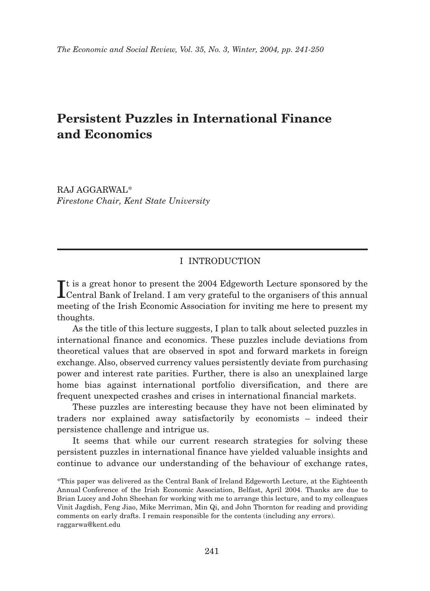# **Persistent Puzzles in International Finance and Economics**

RAJ AGGARWAL\* *Firestone Chair, Kent State University*

## I INTRODUCTION

It is a great honor to present the 2004 Edgeworth Lecture sponsored by the Central Bank of Ireland. I am very grateful to the organisers of this annual t is a great honor to present the 2004 Edgeworth Lecture sponsored by the meeting of the Irish Economic Association for inviting me here to present my thoughts.

As the title of this lecture suggests, I plan to talk about selected puzzles in international finance and economics. These puzzles include deviations from theoretical values that are observed in spot and forward markets in foreign exchange. Also, observed currency values persistently deviate from purchasing power and interest rate parities. Further, there is also an unexplained large home bias against international portfolio diversification, and there are frequent unexpected crashes and crises in international financial markets.

These puzzles are interesting because they have not been eliminated by traders nor explained away satisfactorily by economists – indeed their persistence challenge and intrigue us.

It seems that while our current research strategies for solving these persistent puzzles in international finance have yielded valuable insights and continue to advance our understanding of the behaviour of exchange rates,

<sup>\*</sup>This paper was delivered as the Central Bank of Ireland Edgeworth Lecture, at the Eighteenth Annual Conference of the Irish Economic Association, Belfast, April 2004. Thanks are due to Brian Lucey and John Sheehan for working with me to arrange this lecture, and to my colleagues Vinit Jagdish, Feng Jiao, Mike Merriman, Min Qi, and John Thornton for reading and providing comments on early drafts. I remain responsible for the contents (including any errors). raggarwa@kent.edu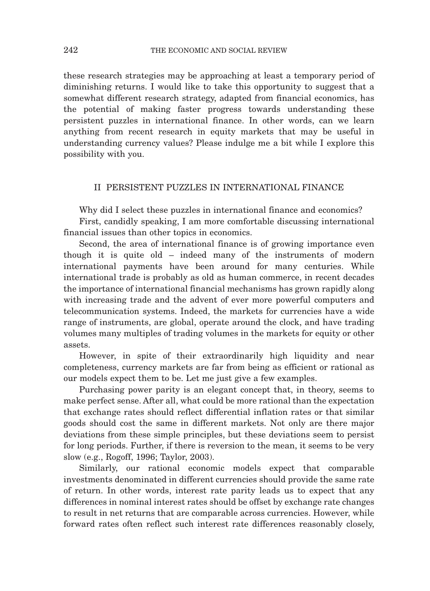these research strategies may be approaching at least a temporary period of diminishing returns. I would like to take this opportunity to suggest that a somewhat different research strategy, adapted from financial economics, has the potential of making faster progress towards understanding these persistent puzzles in international finance. In other words, can we learn anything from recent research in equity markets that may be useful in understanding currency values? Please indulge me a bit while I explore this possibility with you.

## II PERSISTENT PUZZLES IN INTERNATIONAL FINANCE

Why did I select these puzzles in international finance and economics?

First, candidly speaking, I am more comfortable discussing international financial issues than other topics in economics.

Second, the area of international finance is of growing importance even though it is quite old – indeed many of the instruments of modern international payments have been around for many centuries. While international trade is probably as old as human commerce, in recent decades the importance of international financial mechanisms has grown rapidly along with increasing trade and the advent of ever more powerful computers and telecommunication systems. Indeed, the markets for currencies have a wide range of instruments, are global, operate around the clock, and have trading volumes many multiples of trading volumes in the markets for equity or other assets.

However, in spite of their extraordinarily high liquidity and near completeness, currency markets are far from being as efficient or rational as our models expect them to be. Let me just give a few examples.

Purchasing power parity is an elegant concept that, in theory, seems to make perfect sense. After all, what could be more rational than the expectation that exchange rates should reflect differential inflation rates or that similar goods should cost the same in different markets. Not only are there major deviations from these simple principles, but these deviations seem to persist for long periods. Further, if there is reversion to the mean, it seems to be very slow (e.g., Rogoff, 1996; Taylor, 2003).

Similarly, our rational economic models expect that comparable investments denominated in different currencies should provide the same rate of return. In other words, interest rate parity leads us to expect that any differences in nominal interest rates should be offset by exchange rate changes to result in net returns that are comparable across currencies. However, while forward rates often reflect such interest rate differences reasonably closely,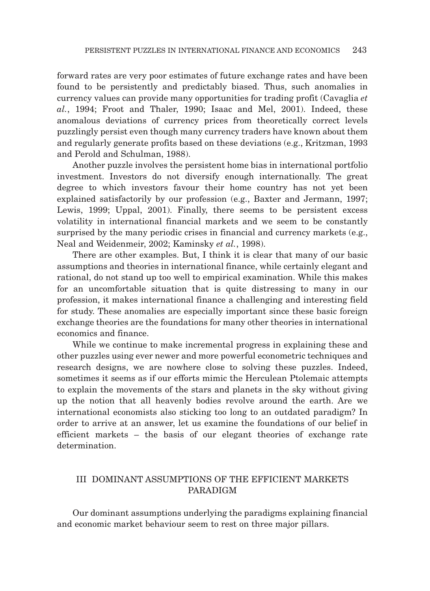forward rates are very poor estimates of future exchange rates and have been found to be persistently and predictably biased. Thus, such anomalies in currency values can provide many opportunities for trading profit (Cavaglia *et al.*, 1994; Froot and Thaler, 1990; Isaac and Mel, 2001). Indeed, these anomalous deviations of currency prices from theoretically correct levels puzzlingly persist even though many currency traders have known about them and regularly generate profits based on these deviations (e.g., Kritzman, 1993 and Perold and Schulman, 1988).

Another puzzle involves the persistent home bias in international portfolio investment. Investors do not diversify enough internationally. The great degree to which investors favour their home country has not yet been explained satisfactorily by our profession (e.g., Baxter and Jermann, 1997; Lewis, 1999; Uppal, 2001). Finally, there seems to be persistent excess volatility in international financial markets and we seem to be constantly surprised by the many periodic crises in financial and currency markets (e.g., Neal and Weidenmeir, 2002; Kaminsky *et al.*, 1998).

There are other examples. But, I think it is clear that many of our basic assumptions and theories in international finance, while certainly elegant and rational, do not stand up too well to empirical examination. While this makes for an uncomfortable situation that is quite distressing to many in our profession, it makes international finance a challenging and interesting field for study. These anomalies are especially important since these basic foreign exchange theories are the foundations for many other theories in international economics and finance.

While we continue to make incremental progress in explaining these and other puzzles using ever newer and more powerful econometric techniques and research designs, we are nowhere close to solving these puzzles. Indeed, sometimes it seems as if our efforts mimic the Herculean Ptolemaic attempts to explain the movements of the stars and planets in the sky without giving up the notion that all heavenly bodies revolve around the earth. Are we international economists also sticking too long to an outdated paradigm? In order to arrive at an answer, let us examine the foundations of our belief in efficient markets – the basis of our elegant theories of exchange rate determination.

# III DOMINANT ASSUMPTIONS OF THE EFFICIENT MARKETS PARADIGM

Our dominant assumptions underlying the paradigms explaining financial and economic market behaviour seem to rest on three major pillars.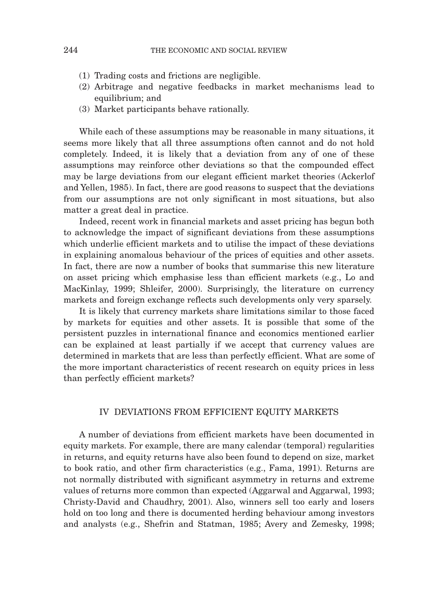- (1) Trading costs and frictions are negligible.
- (2) Arbitrage and negative feedbacks in market mechanisms lead to equilibrium; and
- (3) Market participants behave rationally.

While each of these assumptions may be reasonable in many situations, it seems more likely that all three assumptions often cannot and do not hold completely. Indeed, it is likely that a deviation from any of one of these assumptions may reinforce other deviations so that the compounded effect may be large deviations from our elegant efficient market theories (Ackerlof and Yellen, 1985). In fact, there are good reasons to suspect that the deviations from our assumptions are not only significant in most situations, but also matter a great deal in practice.

Indeed, recent work in financial markets and asset pricing has begun both to acknowledge the impact of significant deviations from these assumptions which underlie efficient markets and to utilise the impact of these deviations in explaining anomalous behaviour of the prices of equities and other assets. In fact, there are now a number of books that summarise this new literature on asset pricing which emphasise less than efficient markets (e.g., Lo and MacKinlay, 1999; Shleifer, 2000). Surprisingly, the literature on currency markets and foreign exchange reflects such developments only very sparsely.

It is likely that currency markets share limitations similar to those faced by markets for equities and other assets. It is possible that some of the persistent puzzles in international finance and economics mentioned earlier can be explained at least partially if we accept that currency values are determined in markets that are less than perfectly efficient. What are some of the more important characteristics of recent research on equity prices in less than perfectly efficient markets?

### IV DEVIATIONS FROM EFFICIENT EQUITY MARKETS

A number of deviations from efficient markets have been documented in equity markets. For example, there are many calendar (temporal) regularities in returns, and equity returns have also been found to depend on size, market to book ratio, and other firm characteristics (e.g., Fama, 1991). Returns are not normally distributed with significant asymmetry in returns and extreme values of returns more common than expected (Aggarwal and Aggarwal, 1993; Christy-David and Chaudhry, 2001). Also, winners sell too early and losers hold on too long and there is documented herding behaviour among investors and analysts (e.g., Shefrin and Statman, 1985; Avery and Zemesky, 1998;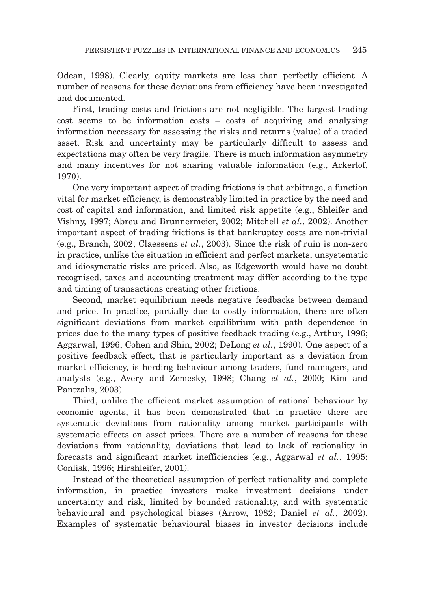Odean, 1998). Clearly, equity markets are less than perfectly efficient. A number of reasons for these deviations from efficiency have been investigated and documented.

First, trading costs and frictions are not negligible. The largest trading cost seems to be information costs – costs of acquiring and analysing information necessary for assessing the risks and returns (value) of a traded asset. Risk and uncertainty may be particularly difficult to assess and expectations may often be very fragile. There is much information asymmetry and many incentives for not sharing valuable information (e.g., Ackerlof, 1970).

One very important aspect of trading frictions is that arbitrage, a function vital for market efficiency, is demonstrably limited in practice by the need and cost of capital and information, and limited risk appetite (e.g., Shleifer and Vishny, 1997; Abreu and Brunnermeier, 2002; Mitchell *et al.*, 2002). Another important aspect of trading frictions is that bankruptcy costs are non-trivial (e.g., Branch, 2002; Claessens *et al.*, 2003). Since the risk of ruin is non-zero in practice, unlike the situation in efficient and perfect markets, unsystematic and idiosyncratic risks are priced. Also, as Edgeworth would have no doubt recognised, taxes and accounting treatment may differ according to the type and timing of transactions creating other frictions.

Second, market equilibrium needs negative feedbacks between demand and price. In practice, partially due to costly information, there are often significant deviations from market equilibrium with path dependence in prices due to the many types of positive feedback trading (e.g., Arthur, 1996; Aggarwal, 1996; Cohen and Shin, 2002; DeLong *et al.*, 1990). One aspect of a positive feedback effect, that is particularly important as a deviation from market efficiency, is herding behaviour among traders, fund managers, and analysts (e.g., Avery and Zemesky, 1998; Chang *et al.*, 2000; Kim and Pantzalis, 2003).

Third, unlike the efficient market assumption of rational behaviour by economic agents, it has been demonstrated that in practice there are systematic deviations from rationality among market participants with systematic effects on asset prices. There are a number of reasons for these deviations from rationality, deviations that lead to lack of rationality in forecasts and significant market inefficiencies (e.g., Aggarwal *et al.*, 1995; Conlisk, 1996; Hirshleifer, 2001).

Instead of the theoretical assumption of perfect rationality and complete information, in practice investors make investment decisions under uncertainty and risk, limited by bounded rationality, and with systematic behavioural and psychological biases (Arrow, 1982; Daniel *et al.*, 2002). Examples of systematic behavioural biases in investor decisions include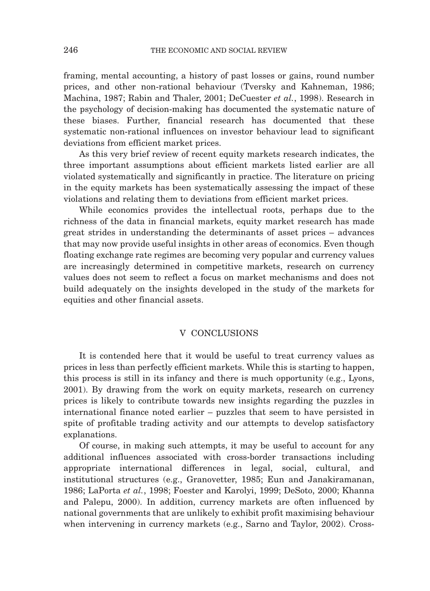framing, mental accounting, a history of past losses or gains, round number prices, and other non-rational behaviour (Tversky and Kahneman, 1986; Machina, 1987; Rabin and Thaler, 2001; DeCuester *et al.*, 1998). Research in the psychology of decision-making has documented the systematic nature of these biases. Further, financial research has documented that these systematic non-rational influences on investor behaviour lead to significant deviations from efficient market prices.

As this very brief review of recent equity markets research indicates, the three important assumptions about efficient markets listed earlier are all violated systematically and significantly in practice. The literature on pricing in the equity markets has been systematically assessing the impact of these violations and relating them to deviations from efficient market prices.

While economics provides the intellectual roots, perhaps due to the richness of the data in financial markets, equity market research has made great strides in understanding the determinants of asset prices – advances that may now provide useful insights in other areas of economics. Even though floating exchange rate regimes are becoming very popular and currency values are increasingly determined in competitive markets, research on currency values does not seem to reflect a focus on market mechanisms and does not build adequately on the insights developed in the study of the markets for equities and other financial assets.

## V CONCLUSIONS

It is contended here that it would be useful to treat currency values as prices in less than perfectly efficient markets. While this is starting to happen, this process is still in its infancy and there is much opportunity (e.g., Lyons, 2001). By drawing from the work on equity markets, research on currency prices is likely to contribute towards new insights regarding the puzzles in international finance noted earlier – puzzles that seem to have persisted in spite of profitable trading activity and our attempts to develop satisfactory explanations.

Of course, in making such attempts, it may be useful to account for any additional influences associated with cross-border transactions including appropriate international differences in legal, social, cultural, and institutional structures (e.g., Granovetter, 1985; Eun and Janakiramanan, 1986; LaPorta *et al.*, 1998; Foester and Karolyi, 1999; DeSoto, 2000; Khanna and Palepu, 2000). In addition, currency markets are often influenced by national governments that are unlikely to exhibit profit maximising behaviour when intervening in currency markets (e.g., Sarno and Taylor, 2002). Cross-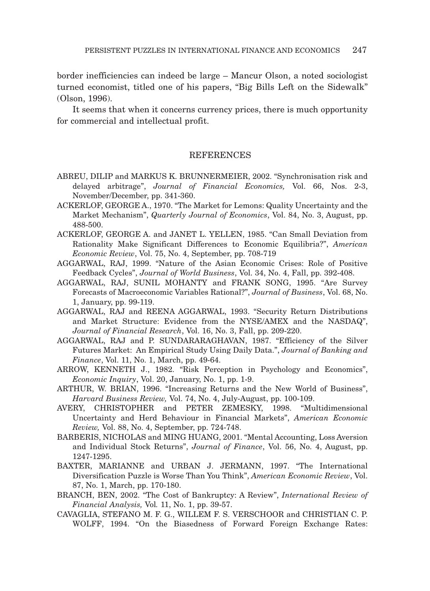border inefficiencies can indeed be large – Mancur Olson, a noted sociologist turned economist, titled one of his papers, "Big Bills Left on the Sidewalk" (Olson, 1996).

It seems that when it concerns currency prices, there is much opportunity for commercial and intellectual profit.

### REFERENCES

- ABREU, DILIP and MARKUS K. BRUNNERMEIER, 2002. "Synchronisation risk and delayed arbitrage", *Journal of Financial Economics,* Vol. 66, Nos. 2-3, November/December, pp. 341-360.
- ACKERLOF, GEORGE A., 1970. "The Market for Lemons: Quality Uncertainty and the Market Mechanism", *Quarterly Journal of Economics*, Vol. 84, No. 3, August, pp. 488-500.
- ACKERLOF, GEORGE A. and JANET L. YELLEN, 1985. "Can Small Deviation from Rationality Make Significant Differences to Economic Equilibria?", *American Economic Review*, Vol. 75, No. 4, September, pp. 708-719
- AGGARWAL, RAJ, 1999. "Nature of the Asian Economic Crises: Role of Positive Feedback Cycles", *Journal of World Business*, Vol. 34, No. 4, Fall, pp. 392-408.
- AGGARWAL, RAJ, SUNIL MOHANTY and FRANK SONG, 1995. "Are Survey Forecasts of Macroeconomic Variables Rational?", *Journal of Business*, Vol. 68, No. 1, January, pp. 99-119.
- AGGARWAL, RAJ and REENA AGGARWAL, 1993. "Security Return Distributions and Market Structure: Evidence from the NYSE/AMEX and the NASDAQ", *Journal of Financial Research*, Vol. 16, No. 3, Fall, pp. 209-220.
- AGGARWAL, RAJ and P. SUNDARARAGHAVAN, 1987. "Efficiency of the Silver Futures Market: An Empirical Study Using Daily Data.", *Journal of Banking and Finance*, Vol. 11, No. 1, March, pp. 49-64.
- ARROW, KENNETH J., 1982. "Risk Perception in Psychology and Economics", *Economic Inquiry*, Vol. 20, January, No. 1, pp. 1-9.
- ARTHUR, W. BRIAN, 1996. "Increasing Returns and the New World of Business", *Harvard Business Review,* Vol. 74, No. 4, July-August, pp. 100-109.
- AVERY, CHRISTOPHER and PETER ZEMESKY, 1998. "Multidimensional Uncertainty and Herd Behaviour in Financial Markets", *American Economic Review,* Vol. 88, No. 4, September, pp. 724-748.
- BARBERIS, NICHOLAS and MING HUANG, 2001. "Mental Accounting, Loss Aversion and Individual Stock Returns", *Journal of Finance*, Vol. 56, No. 4, August, pp. 1247-1295.
- BAXTER, MARIANNE and URBAN J. JERMANN, 1997. "The International Diversification Puzzle is Worse Than You Think", *American Economic Review*, Vol. 87, No. 1, March, pp. 170-180.
- BRANCH, BEN, 2002. "The Cost of Bankruptcy: A Review", *International Review of Financial Analysis,* Vol*.* 11, No. 1, pp. 39-57.
- CAVAGLIA, STEFANO M. F. G., WILLEM F. S. VERSCHOOR and CHRISTIAN C. P. WOLFF, 1994. "On the Biasedness of Forward Foreign Exchange Rates: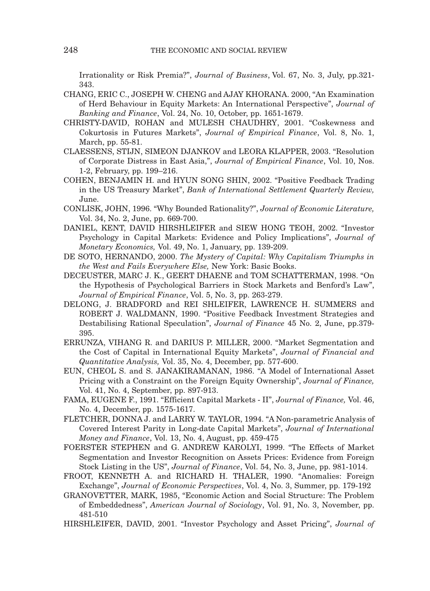Irrationality or Risk Premia?", *Journal of Business*, Vol. 67, No. 3, July, pp.321- 343.

- CHANG, ERIC C., JOSEPH W. CHENG and AJAY KHORANA. 2000, "An Examination of Herd Behaviour in Equity Markets: An International Perspective", *Journal of Banking and Finance*, Vol. 24, No. 10, October, pp. 1651-1679.
- CHRISTY-DAVID, ROHAN and MULESH CHAUDHRY, 2001. "Coskewness and Cokurtosis in Futures Markets", *Journal of Empirical Finance*, Vol. 8, No. 1, March, pp. 55-81.
- CLAESSENS, STIJN, SIMEON DJANKOV and LEORA KLAPPER, 2003. "Resolution of Corporate Distress in East Asia,", *Journal of Empirical Finance*, Vol. 10, Nos. 1-2, February, pp. 199–216.
- COHEN, BENJAMIN H. and HYUN SONG SHIN, 2002. "Positive Feedback Trading in the US Treasury Market", *Bank of International Settlement Quarterly Review,* June.
- CONLISK, JOHN, 1996. "Why Bounded Rationality?", *Journal of Economic Literature,* Vol. 34, No. 2, June, pp. 669-700.
- DANIEL, KENT, DAVID HIRSHLEIFER and SIEW HONG TEOH, 2002. "Investor Psychology in Capital Markets: Evidence and Policy Implications", *Journal of Monetary Economics,* Vol. 49, No. 1, January, pp. 139-209.
- DE SOTO, HERNANDO, 2000. *The Mystery of Capital: Why Capitalism Triumphs in the West and Fails Everywhere Else,* New York: Basic Books.
- DECEUSTER, MARC J. K., GEERT DHAENE and TOM SCHATTERMAN, 1998. "On the Hypothesis of Psychological Barriers in Stock Markets and Benford's Law", *Journal of Empirical Finance*, Vol. 5, No. 3, pp. 263-279.
- DELONG, J. BRADFORD and REI SHLEIFER, LAWRENCE H. SUMMERS and ROBERT J. WALDMANN, 1990. "Positive Feedback Investment Strategies and Destabilising Rational Speculation", *Journal of Finance* 45 No. 2, June, pp.379- 395.
- ERRUNZA, VIHANG R. and DARIUS P. MILLER, 2000. "Market Segmentation and the Cost of Capital in International Equity Markets", *Journal of Financial and Quantitative Analysis,* Vol. 35, No. 4, December, pp. 577-600.
- EUN, CHEOL S. and S. JANAKIRAMANAN, 1986. "A Model of International Asset Pricing with a Constraint on the Foreign Equity Ownership", *Journal of Finance,* Vol. 41, No. 4, September, pp. 897-913.
- FAMA, EUGENE F., 1991. "Efficient Capital Markets II", *Journal of Finance,* Vol. 46, No. 4, December, pp. 1575-1617.
- FLETCHER, DONNA J. and LARRY W. TAYLOR, 1994. "A Non-parametric Analysis of Covered Interest Parity in Long-date Capital Markets", *Journal of International Money and Finance*, Vol. 13, No. 4, August, pp. 459-475
- FOERSTER STEPHEN and G. ANDREW KAROLYI, 1999. "The Effects of Market Segmentation and Investor Recognition on Assets Prices: Evidence from Foreign Stock Listing in the US", *Journal of Finance*, Vol. 54, No. 3, June, pp. 981-1014.
- FROOT, KENNETH A. and RICHARD H. THALER, 1990. "Anomalies: Foreign Exchange", *Journal of Economic Perspectives*, Vol. 4, No. 3, Summer, pp. 179-192
- GRANOVETTER, MARK, 1985, "Economic Action and Social Structure: The Problem of Embeddedness", *American Journal of Sociology*, Vol. 91, No. 3, November, pp. 481-510
- HIRSHLEIFER, DAVID, 2001. "Investor Psychology and Asset Pricing", *Journal of*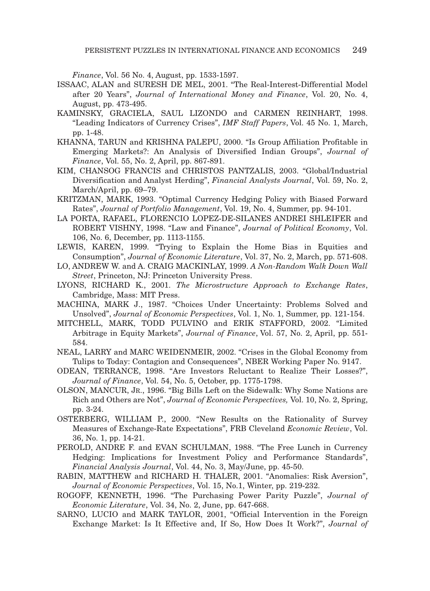*Finance*, Vol. 56 No. 4, August, pp. 1533-1597.

- ISSAAC, ALAN and SURESH DE MEL, 2001. "The Real-Interest-Differential Model after 20 Years", *Journal of International Money and Finance*, Vol. 20, No. 4, August, pp. 473-495.
- KAMINSKY, GRACIELA, SAUL LIZONDO and CARMEN REINHART, 1998. "Leading Indicators of Currency Crises", *IMF Staff Papers*, Vol. 45 No. 1, March, pp. 1-48.
- KHANNA, TARUN and KRISHNA PALEPU, 2000. "Is Group Affiliation Profitable in Emerging Markets?: An Analysis of Diversified Indian Groups", *Journal of Finance*, Vol. 55, No. 2, April, pp. 867-891.
- KIM, CHANSOG FRANCIS and CHRISTOS PANTZALIS, 2003. "Global/Industrial Diversification and Analyst Herding", *Financial Analysts Journal*, Vol. 59, No. 2, March/April, pp. 69–79.
- KRITZMAN, MARK, 1993. "Optimal Currency Hedging Policy with Biased Forward Rates", *Journal of Portfolio Management*, Vol. 19, No. 4, Summer, pp. 94-101.
- LA PORTA, RAFAEL, FLORENCIO LOPEZ-DE-SILANES ANDREI SHLEIFER and ROBERT VISHNY, 1998. "Law and Finance", *Journal of Political Economy*, Vol. 106, No. 6, December, pp. 1113-1155.
- LEWIS, KAREN, 1999. "Trying to Explain the Home Bias in Equities and Consumption", *Journal of Economic Literature*, Vol. 37, No. 2, March, pp. 571-608.
- LO, ANDREW W. and A. CRAIG MACKINLAY, 1999. *A Non-Random Walk Down Wall Street*, Princeton, NJ: Princeton University Press.
- LYONS, RICHARD K., 2001. *The Microstructure Approach to Exchange Rates*, Cambridge, Mass: MIT Press.
- MACHINA, MARK J., 1987. "Choices Under Uncertainty: Problems Solved and Unsolved", *Journal of Economic Perspectives*, Vol. 1, No. 1, Summer, pp. 121-154.
- MITCHELL, MARK, TODD PULVINO and ERIK STAFFORD, 2002. "Limited Arbitrage in Equity Markets", *Journal of Finance*, Vol. 57, No. 2, April, pp. 551- 584.
- NEAL, LARRY and MARC WEIDENMEIR, 2002. "Crises in the Global Economy from Tulips to Today: Contagion and Consequences", NBER Working Paper No. 9147.
- ODEAN, TERRANCE, 1998. "Are Investors Reluctant to Realize Their Losses?", *Journal of Finance*, Vol. 54, No. 5, October, pp. 1775-1798.
- OLSON, MANCUR, JR., 1996. "Big Bills Left on the Sidewalk: Why Some Nations are Rich and Others are Not", *Journal of Economic Perspectives,* Vol. 10, No. 2, Spring, pp. 3-24.
- OSTERBERG, WILLIAM P., 2000. "New Results on the Rationality of Survey Measures of Exchange-Rate Expectations", FRB Cleveland *Economic Review*, Vol. 36, No. 1, pp. 14-21.
- PEROLD, ANDRE F. and EVAN SCHULMAN, 1988. "The Free Lunch in Currency Hedging: Implications for Investment Policy and Performance Standards", *Financial Analysis Journal*, Vol. 44, No. 3, May/June, pp. 45-50.
- RABIN, MATTHEW and RICHARD H. THALER, 2001. "Anomalies: Risk Aversion", *Journal of Economic Perspectives*, Vol. 15, No.1, Winter, pp. 219-232.
- ROGOFF, KENNETH, 1996. "The Purchasing Power Parity Puzzle", *Journal of Economic Literature*, Vol. 34, No. 2, June, pp. 647-668.
- SARNO, LUCIO and MARK TAYLOR, 2001, "Official Intervention in the Foreign Exchange Market: Is It Effective and, If So, How Does It Work?", *Journal of*